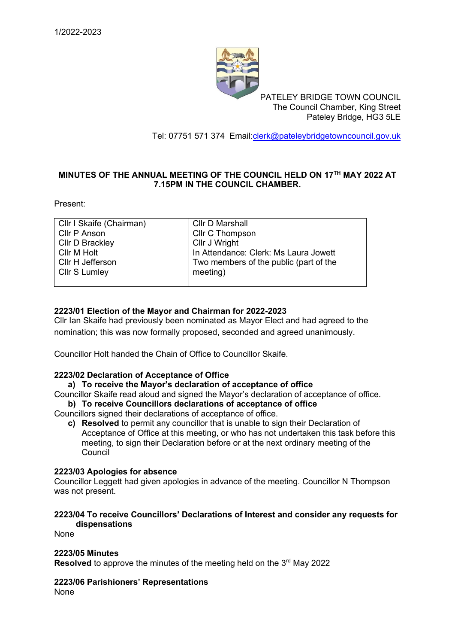

PATELEY BRIDGE TOWN COUNCIL The Council Chamber, King Street Pateley Bridge, HG3 5LE

Tel: 07751 571 374 Email[:clerk@pateleybridgetowncouncil.gov.uk](mailto:clerk@pateleybridgetowncouncil.gov.uk)

### **MINUTES OF THE ANNUAL MEETING OF THE COUNCIL HELD ON 17TH MAY 2022 AT 7.15PM IN THE COUNCIL CHAMBER.**

Present:

| Cllr I Skaife (Chairman) | Cllr D Marshall                        |
|--------------------------|----------------------------------------|
| Cllr P Anson             | Cllr C Thompson                        |
| <b>Cllr D Brackley</b>   | Cllr J Wright                          |
| Cllr M Holt              | In Attendance: Clerk: Ms Laura Jowett  |
| Cllr H Jefferson         | Two members of the public (part of the |
| Cllr S Lumley            | meeting)                               |
|                          |                                        |

### **2223/01 Election of the Mayor and Chairman for 2022-2023**

Cllr Ian Skaife had previously been nominated as Mayor Elect and had agreed to the nomination; this was now formally proposed, seconded and agreed unanimously.

Councillor Holt handed the Chain of Office to Councillor Skaife.

#### **2223/02 Declaration of Acceptance of Office**

## **a) To receive the Mayor's declaration of acceptance of office**

Councillor Skaife read aloud and signed the Mayor's declaration of acceptance of office. **b) To receive Councillors declarations of acceptance of office**

Councillors signed their declarations of acceptance of office.

**c) Resolved** to permit any councillor that is unable to sign their Declaration of Acceptance of Office at this meeting, or who has not undertaken this task before this meeting, to sign their Declaration before or at the next ordinary meeting of the **Council** 

#### **2223/03 Apologies for absence**

Councillor Leggett had given apologies in advance of the meeting. Councillor N Thompson was not present.

#### **2223/04 To receive Councillors' Declarations of Interest and consider any requests for dispensations**

None

#### **2223/05 Minutes**

Resolved to approve the minutes of the meeting held on the 3<sup>rd</sup> May 2022

#### **2223/06 Parishioners' Representations**

None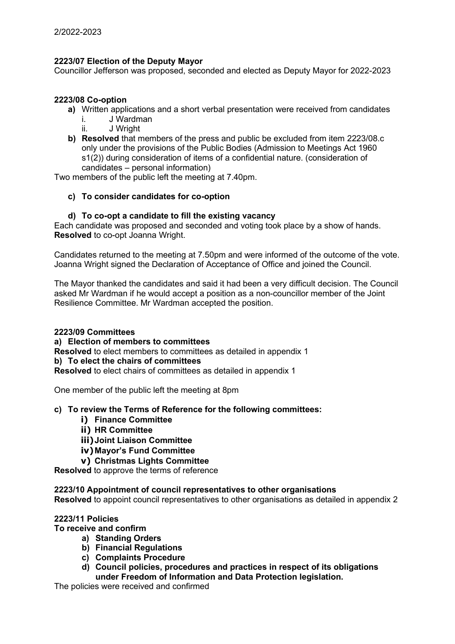### **2223/07 Election of the Deputy Mayor**

Councillor Jefferson was proposed, seconded and elected as Deputy Mayor for 2022-2023

#### **2223/08 Co-option**

- **a)** Written applications and a short verbal presentation were received from candidates
	- i. J Wardman
	- ii. J Wright
- **b) Resolved** that members of the press and public be excluded from item 2223/08.c only under the provisions of the Public Bodies (Admission to Meetings Act 1960 s1(2)) during consideration of items of a confidential nature. (consideration of candidates – personal information)

Two members of the public left the meeting at 7.40pm.

### **c) To consider candidates for co-option**

#### **d) To co-opt a candidate to fill the existing vacancy**

Each candidate was proposed and seconded and voting took place by a show of hands. **Resolved** to co-opt Joanna Wright.

Candidates returned to the meeting at 7.50pm and were informed of the outcome of the vote. Joanna Wright signed the Declaration of Acceptance of Office and joined the Council.

The Mayor thanked the candidates and said it had been a very difficult decision. The Council asked Mr Wardman if he would accept a position as a non-councillor member of the Joint Resilience Committee. Mr Wardman accepted the position.

#### **2223/09 Committees**

#### **a) Election of members to committees**

**Resolved** to elect members to committees as detailed in appendix 1

## **b) To elect the chairs of committees**

**Resolved** to elect chairs of committees as detailed in appendix 1

One member of the public left the meeting at 8pm

#### **c) To review the Terms of Reference for the following committees:**

- **i) Finance Committee**
- **ii) HR Committee**
- **iii)Joint Liaison Committee**
- **iv)Mayor's Fund Committee**
- **v) Christmas Lights Committee**

**Resolved** to approve the terms of reference

#### **2223/10 Appointment of council representatives to other organisations**

**Resolved** to appoint council representatives to other organisations as detailed in appendix 2

### **2223/11 Policies**

**To receive and confirm**

- **a) Standing Orders**
- **b) Financial Regulations**
- **c) Complaints Procedure**
- **d) Council policies, procedures and practices in respect of its obligations under Freedom of Information and Data Protection legislation.**

The policies were received and confirmed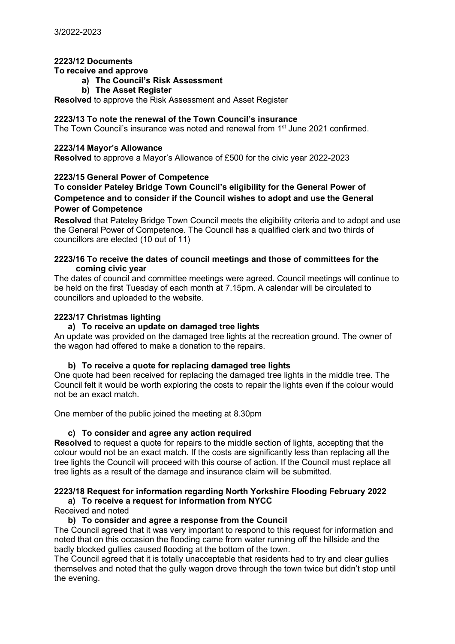#### **2223/12 Documents**

#### **To receive and approve**

## **a) The Council's Risk Assessment**

**b) The Asset Register**

**Resolved** to approve the Risk Assessment and Asset Register

#### **2223/13 To note the renewal of the Town Council's insurance**

The Town Council's insurance was noted and renewal from 1<sup>st</sup> June 2021 confirmed.

#### **2223/14 Mayor's Allowance**

**Resolved** to approve a Mayor's Allowance of £500 for the civic year 2022-2023

#### **2223/15 General Power of Competence**

#### **To consider Pateley Bridge Town Council's eligibility for the General Power of Competence and to consider if the Council wishes to adopt and use the General Power of Competence**

**Resolved** that Pateley Bridge Town Council meets the eligibility criteria and to adopt and use the General Power of Competence. The Council has a qualified clerk and two thirds of councillors are elected (10 out of 11)

#### **2223/16 To receive the dates of council meetings and those of committees for the coming civic year**

The dates of council and committee meetings were agreed. Council meetings will continue to be held on the first Tuesday of each month at 7.15pm. A calendar will be circulated to councillors and uploaded to the website.

#### **2223/17 Christmas lighting**

#### **a) To receive an update on damaged tree lights**

An update was provided on the damaged tree lights at the recreation ground. The owner of the wagon had offered to make a donation to the repairs.

#### **b) To receive a quote for replacing damaged tree lights**

One quote had been received for replacing the damaged tree lights in the middle tree. The Council felt it would be worth exploring the costs to repair the lights even if the colour would not be an exact match.

One member of the public joined the meeting at 8.30pm

#### **c) To consider and agree any action required**

**Resolved** to request a quote for repairs to the middle section of lights, accepting that the colour would not be an exact match. If the costs are significantly less than replacing all the tree lights the Council will proceed with this course of action. If the Council must replace all tree lights as a result of the damage and insurance claim will be submitted.

## **2223/18 Request for information regarding North Yorkshire Flooding February 2022**

# **a) To receive a request for information from NYCC**

Received and noted

#### **b) To consider and agree a response from the Council**

The Council agreed that it was very important to respond to this request for information and noted that on this occasion the flooding came from water running off the hillside and the badly blocked gullies caused flooding at the bottom of the town.

The Council agreed that it is totally unacceptable that residents had to try and clear gullies themselves and noted that the gully wagon drove through the town twice but didn't stop until the evening.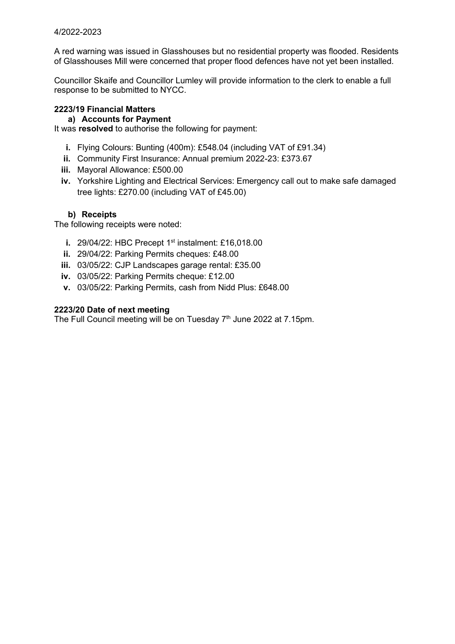### 4/2022-2023

A red warning was issued in Glasshouses but no residential property was flooded. Residents of Glasshouses Mill were concerned that proper flood defences have not yet been installed.

Councillor Skaife and Councillor Lumley will provide information to the clerk to enable a full response to be submitted to NYCC.

#### **2223/19 Financial Matters**

### **a) Accounts for Payment**

It was **resolved** to authorise the following for payment:

- **i.** Flying Colours: Bunting (400m): £548.04 (including VAT of £91.34)
- **ii.** Community First Insurance: Annual premium 2022-23: £373.67
- **iii.** Mayoral Allowance: £500.00
- **iv.** Yorkshire Lighting and Electrical Services: Emergency call out to make safe damaged tree lights: £270.00 (including VAT of £45.00)

## **b) Receipts**

The following receipts were noted:

- **i.** 29/04/22: HBC Precept 1<sup>st</sup> instalment: £16,018.00
- **ii.** 29/04/22: Parking Permits cheques: £48.00
- **iii.** 03/05/22: CJP Landscapes garage rental: £35.00
- **iv.** 03/05/22: Parking Permits cheque: £12.00
- **v.** 03/05/22: Parking Permits, cash from Nidd Plus: £648.00

#### **2223/20 Date of next meeting**

The Full Council meeting will be on Tuesday 7<sup>th</sup> June 2022 at 7.15pm.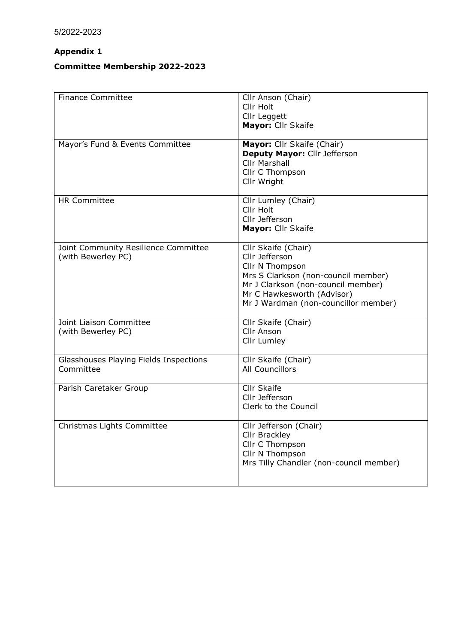# **Appendix 1**

# **Committee Membership 2022-2023**

| <b>Finance Committee</b>                                   | Cllr Anson (Chair)<br>Cllr Holt<br>Cllr Leggett<br>Mayor: Cllr Skaife                                                                                                                                       |
|------------------------------------------------------------|-------------------------------------------------------------------------------------------------------------------------------------------------------------------------------------------------------------|
| Mayor's Fund & Events Committee                            | Mayor: Cllr Skaife (Chair)<br>Deputy Mayor: Cllr Jefferson<br><b>Cllr Marshall</b><br>Cllr C Thompson<br>Cllr Wright                                                                                        |
| <b>HR Committee</b>                                        | Cllr Lumley (Chair)<br>Cllr Holt<br>Cllr Jefferson<br>Mayor: Cllr Skaife                                                                                                                                    |
| Joint Community Resilience Committee<br>(with Bewerley PC) | Cllr Skaife (Chair)<br>Cllr Jefferson<br>Cllr N Thompson<br>Mrs S Clarkson (non-council member)<br>Mr J Clarkson (non-council member)<br>Mr C Hawkesworth (Advisor)<br>Mr J Wardman (non-councillor member) |
| Joint Liaison Committee<br>(with Bewerley PC)              | Cllr Skaife (Chair)<br>Cllr Anson<br>Cllr Lumley                                                                                                                                                            |
| Glasshouses Playing Fields Inspections<br>Committee        | Cllr Skaife (Chair)<br><b>All Councillors</b>                                                                                                                                                               |
| Parish Caretaker Group                                     | <b>Cllr Skaife</b><br>Cllr Jefferson<br>Clerk to the Council                                                                                                                                                |
| Christmas Lights Committee                                 | Cllr Jefferson (Chair)<br><b>Cllr Brackley</b><br>Cllr C Thompson<br>Cllr N Thompson<br>Mrs Tilly Chandler (non-council member)                                                                             |